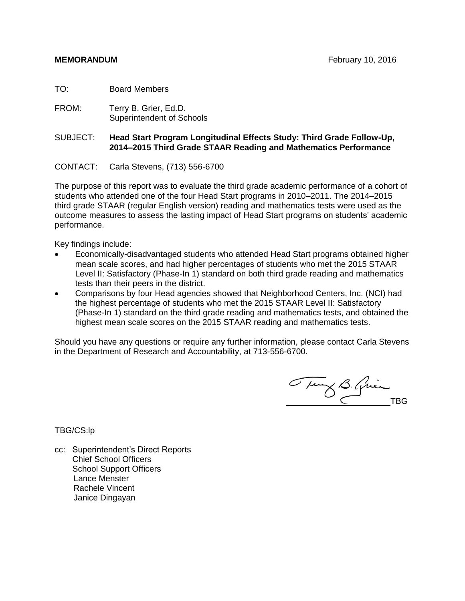TO: Board Members

FROM: Terry B. Grier, Ed.D. Superintendent of Schools

### SUBJECT: **Head Start Program Longitudinal Effects Study: Third Grade Follow-Up, 2014–2015 Third Grade STAAR Reading and Mathematics Performance**

CONTACT: Carla Stevens, (713) 556-6700

The purpose of this report was to evaluate the third grade academic performance of a cohort of students who attended one of the four Head Start programs in 2010–2011. The 2014–2015 third grade STAAR (regular English version) reading and mathematics tests were used as the outcome measures to assess the lasting impact of Head Start programs on students' academic performance.

Key findings include:

- Economically-disadvantaged students who attended Head Start programs obtained higher mean scale scores, and had higher percentages of students who met the 2015 STAAR Level II: Satisfactory (Phase-In 1) standard on both third grade reading and mathematics tests than their peers in the district.
- Comparisons by four Head agencies showed that Neighborhood Centers, Inc. (NCI) had the highest percentage of students who met the 2015 STAAR Level II: Satisfactory (Phase-In 1) standard on the third grade reading and mathematics tests, and obtained the highest mean scale scores on the 2015 STAAR reading and mathematics tests.

Should you have any questions or require any further information, please contact Carla Stevens in the Department of Research and Accountability, at 713-556-6700.

Tury B. Quin

TBG/CS:lp

cc: Superintendent's Direct Reports Chief School Officers School Support Officers Lance Menster Rachele Vincent Janice Dingayan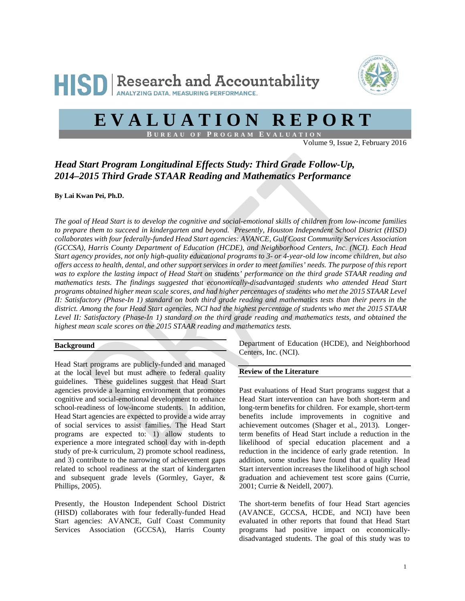



# **EVALUATION REPORT**

**B UREAU OF P ROGRAM E VALUATION**

Volume 9, Issue 2, February 2016

## *Head Start Program Longitudinal Effects Study: Third Grade Follow-Up, 2014–2015 Third Grade STAAR Reading and Mathematics Performance*

**By Lai Kwan Pei, Ph.D.**

*The goal of Head Start is to develop the cognitive and social-emotional skills of children from low-income families to prepare them to succeed in kindergarten and beyond. Presently, Houston Independent School District (HISD) collaborates with four federally-funded Head Start agencies: AVANCE, Gulf Coast Community Services Association (GCCSA), Harris County Department of Education (HCDE), and Neighborhood Centers, Inc. (NCI). Each Head Start agency provides, not only high-quality educational programs to 3- or 4-year-old low income children, but also offers access to health, dental, and other support services in order to meet families' needs. The purpose of this report was to explore the lasting impact of Head Start on students' performance on the third grade STAAR reading and mathematics tests. The findings suggested that economically-disadvantaged students who attended Head Start programs obtained higher mean scale scores, and had higher percentages of students who met the 2015 STAAR Level II: Satisfactory (Phase-In 1) standard on both third grade reading and mathematics tests than their peers in the district. Among the four Head Start agencies, NCI had the highest percentage of students who met the 2015 STAAR*  Level II: Satisfactory (Phase-In 1) standard on the third grade reading and mathematics tests, and obtained the *highest mean scale scores on the 2015 STAAR reading and mathematics tests.* 

#### **Background**

Head Start programs are publicly-funded and managed at the local level but must adhere to federal quality guidelines. These guidelines suggest that Head Start agencies provide a learning environment that promotes cognitive and social-emotional development to enhance school-readiness of low-income students. In addition, Head Start agencies are expected to provide a wide array of social services to assist families. The Head Start programs are expected to: 1) allow students to experience a more integrated school day with in-depth study of pre-k curriculum, 2) promote school readiness, and 3) contribute to the narrowing of achievement gaps related to school readiness at the start of kindergarten and subsequent grade levels (Gormley, Gayer, & Phillips, 2005).

Presently, the Houston Independent School District (HISD) collaborates with four federally-funded Head Start agencies: AVANCE, Gulf Coast Community Services Association (GCCSA), Harris County

Department of Education (HCDE), and Neighborhood Centers, Inc. (NCI).

#### **Review of the Literature**

Past evaluations of Head Start programs suggest that a Head Start intervention can have both short-term and long-term benefits for children. For example, short-term benefits include improvements in cognitive and achievement outcomes (Shager et al., 2013). Longerterm benefits of Head Start include a reduction in the likelihood of special education placement and a reduction in the incidence of early grade retention. In addition, some studies have found that a quality Head Start intervention increases the likelihood of high school graduation and achievement test score gains (Currie, 2001; Currie & Neidell, 2007).

The short-term benefits of four Head Start agencies (AVANCE, GCCSA, HCDE, and NCI) have been evaluated in other reports that found that Head Start programs had positive impact on economicallydisadvantaged students. The goal of this study was to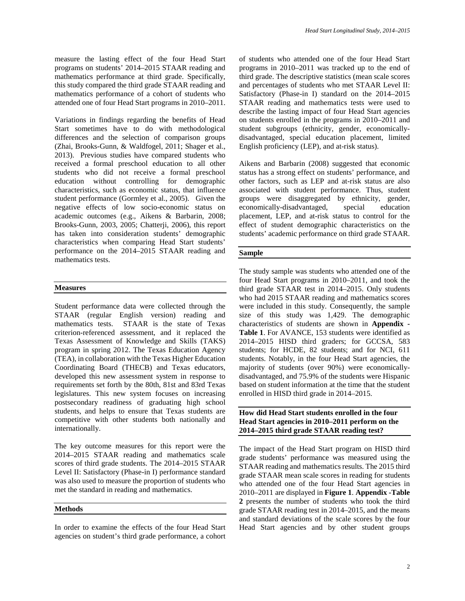measure the lasting effect of the four Head Start programs on students' 2014–2015 STAAR reading and mathematics performance at third grade. Specifically, this study compared the third grade STAAR reading and mathematics performance of a cohort of students who attended one of four Head Start programs in 2010–2011.

Variations in findings regarding the benefits of Head Start sometimes have to do with methodological differences and the selection of comparison groups (Zhai, Brooks-Gunn, & Waldfogel, 2011; Shager et al., 2013). Previous studies have compared students who received a formal preschool education to all other students who did not receive a formal preschool education without controlling for demographic characteristics, such as economic status, that influence student performance (Gormley et al., 2005). Given the negative effects of low socio-economic status on academic outcomes (e.g., Aikens & Barbarin, 2008; Brooks-Gunn, 2003, 2005; Chatterji, 2006), this report has taken into consideration students' demographic characteristics when comparing Head Start students' performance on the 2014–2015 STAAR reading and mathematics tests.

#### **Measures**

Student performance data were collected through the STAAR (regular English version) reading and mathematics tests. STAAR is the state of Texas criterion-referenced assessment, and it replaced the Texas Assessment of Knowledge and Skills (TAKS) program in spring 2012. The Texas Education Agency (TEA), in collaboration with the Texas Higher Education Coordinating Board (THECB) and Texas educators, developed this new assessment system in response to requirements set forth by the 80th, 81st and 83rd Texas legislatures. This new system focuses on increasing postsecondary readiness of graduating high school students, and helps to ensure that Texas students are competitive with other students both nationally and internationally.

The key outcome measures for this report were the 2014–2015 STAAR reading and mathematics scale scores of third grade students. The 2014–2015 STAAR Level II: Satisfactory (Phase-in I) performance standard was also used to measure the proportion of students who met the standard in reading and mathematics.

#### **Methods**

In order to examine the effects of the four Head Start agencies on student's third grade performance, a cohort of students who attended one of the four Head Start programs in 2010–2011 was tracked up to the end of third grade. The descriptive statistics (mean scale scores and percentages of students who met STAAR Level II: Satisfactory (Phase-in I) standard on the 2014–2015 STAAR reading and mathematics tests were used to describe the lasting impact of four Head Start agencies on students enrolled in the programs in 2010–2011 and student subgroups (ethnicity, gender, economicallydisadvantaged, special education placement, limited English proficiency (LEP), and at-risk status).

Aikens and Barbarin (2008) suggested that economic status has a strong effect on students' performance, and other factors, such as LEP and at-risk status are also associated with student performance. Thus, student groups were disaggregated by ethnicity, gender, economically-disadvantaged, special education placement, LEP, and at-risk status to control for the effect of student demographic characteristics on the students' academic performance on third grade STAAR.

#### **Sample**

The study sample was students who attended one of the four Head Start programs in 2010–2011, and took the third grade STAAR test in 2014–2015. Only students who had 2015 STAAR reading and mathematics scores were included in this study. Consequently, the sample size of this study was 1,429. The demographic characteristics of students are shown in **Appendix - Table 1**. For AVANCE, 153 students were identified as 2014–2015 HISD third graders; for GCCSA, 583 students; for HCDE, 82 students; and for NCI, 611 students. Notably, in the four Head Start agencies, the majority of students (over 90%) were economicallydisadvantaged, and 75.9% of the students were Hispanic based on student information at the time that the student enrolled in HISD third grade in 2014–2015.

#### **How did Head Start students enrolled in the four Head Start agencies in 2010–2011 perform on the 2014–2015 third grade STAAR reading test?**

The impact of the Head Start program on HISD third grade students' performance was measured using the STAAR reading and mathematics results. The 2015 third grade STAAR mean scale scores in reading for students who attended one of the four Head Start agencies in 2010–2011 are displayed in **Figure 1**. **Appendix -Table 2** presents the number of students who took the third grade STAAR reading test in 2014–2015, and the means and standard deviations of the scale scores by the four Head Start agencies and by other student groups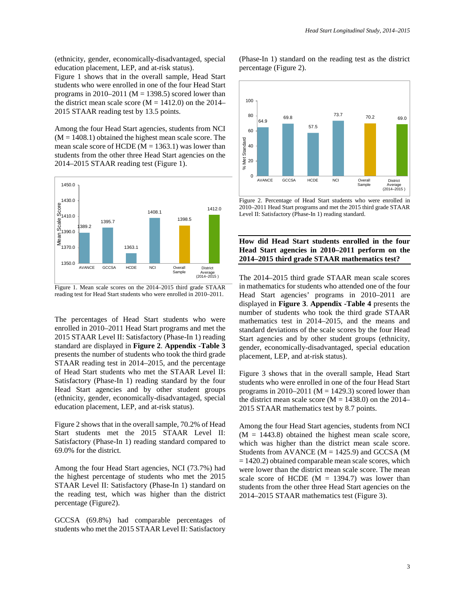(ethnicity, gender, economically-disadvantaged, special education placement, LEP, and at-risk status).

Figure 1 shows that in the overall sample, Head Start students who were enrolled in one of the four Head Start programs in 2010–2011 ( $M = 1398.5$ ) scored lower than the district mean scale score ( $M = 1412.0$ ) on the 2014– 2015 STAAR reading test by 13.5 points.

Among the four Head Start agencies, students from NCI  $(M = 1408.1)$  obtained the highest mean scale score. The mean scale score of HCDE  $(M = 1363.1)$  was lower than students from the other three Head Start agencies on the 2014–2015 STAAR reading test (Figure 1).



Figure 1. Mean scale scores on the 2014–2015 third grade STAAR reading test for Head Start students who were enrolled in 2010–2011.

The percentages of Head Start students who were enrolled in 2010–2011 Head Start programs and met the 2015 STAAR Level II: Satisfactory (Phase-In 1) reading standard are displayed in **Figure 2**. **Appendix -Table 3** presents the number of students who took the third grade STAAR reading test in 2014–2015, and the percentage of Head Start students who met the STAAR Level II: Satisfactory (Phase-In 1) reading standard by the four Head Start agencies and by other student groups (ethnicity, gender, economically-disadvantaged, special education placement, LEP, and at-risk status).

Figure 2 shows that in the overall sample, 70.2% of Head Start students met the 2015 STAAR Level II: Satisfactory (Phase-In 1) reading standard compared to 69.0% for the district.

Among the four Head Start agencies, NCI (73.7%) had the highest percentage of students who met the 2015 STAAR Level II: Satisfactory (Phase-In 1) standard on the reading test, which was higher than the district percentage (Figure2).

GCCSA (69.8%) had comparable percentages of students who met the 2015 STAAR Level II: Satisfactory

(Phase-In 1) standard on the reading test as the district percentage (Figure 2).



Figure 2. Percentage of Head Start students who were enrolled in 2010–2011 Head Start programs and met the 2015 third grade STAAR Level II: Satisfactory (Phase-In 1) reading standard.

#### **How did Head Start students enrolled in the four Head Start agencies in 2010–2011 perform on the 2014–2015 third grade STAAR mathematics test?**

The 2014–2015 third grade STAAR mean scale scores in mathematics for students who attended one of the four Head Start agencies' programs in 2010–2011 are displayed in **Figure 3**. **Appendix -Table 4** presents the number of students who took the third grade STAAR mathematics test in 2014–2015, and the means and standard deviations of the scale scores by the four Head Start agencies and by other student groups (ethnicity, gender, economically-disadvantaged, special education placement, LEP, and at-risk status).

Figure 3 shows that in the overall sample, Head Start students who were enrolled in one of the four Head Start programs in 2010–2011 ( $M = 1429.3$ ) scored lower than the district mean scale score  $(M = 1438.0)$  on the 2014– 2015 STAAR mathematics test by 8.7 points.

Among the four Head Start agencies, students from NCI  $(M = 1443.8)$  obtained the highest mean scale score, which was higher than the district mean scale score. Students from AVANCE  $(M = 1425.9)$  and GCCSA  $(M$  $= 1420.2$ ) obtained comparable mean scale scores, which were lower than the district mean scale score. The mean scale score of HCDE  $(M = 1394.7)$  was lower than students from the other three Head Start agencies on the 2014–2015 STAAR mathematics test (Figure 3).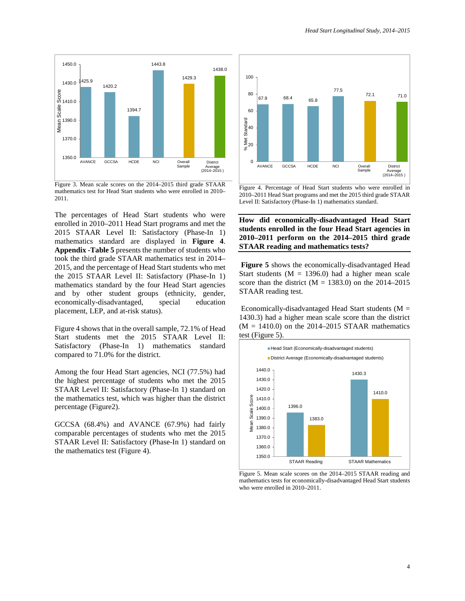

Figure 3. Mean scale scores on the 2014–2015 third grade STAAR mathematics test for Head Start students who were enrolled in 2010– 2011.

The percentages of Head Start students who were enrolled in 2010–2011 Head Start programs and met the 2015 STAAR Level II: Satisfactory (Phase-In 1) mathematics standard are displayed in **Figure 4**. **Appendix -Table 5** presents the number of students who took the third grade STAAR mathematics test in 2014– 2015, and the percentage of Head Start students who met the 2015 STAAR Level II: Satisfactory (Phase-In 1) mathematics standard by the four Head Start agencies and by other student groups (ethnicity, gender, economically-disadvantaged, special education placement, LEP, and at-risk status).

Figure 4 shows that in the overall sample, 72.1% of Head Start students met the 2015 STAAR Level II: Satisfactory (Phase-In 1) mathematics standard compared to 71.0% for the district.

Among the four Head Start agencies, NCI (77.5%) had the highest percentage of students who met the 2015 STAAR Level II: Satisfactory (Phase-In 1) standard on the mathematics test, which was higher than the district percentage (Figure2).

GCCSA (68.4%) and AVANCE (67.9%) had fairly comparable percentages of students who met the 2015 STAAR Level II: Satisfactory (Phase-In 1) standard on the mathematics test (Figure 4).



Figure 4. Percentage of Head Start students who were enrolled in 2010–2011 Head Start programs and met the 2015 third grade STAAR Level II: Satisfactory (Phase-In 1) mathematics standard.

**How did economically-disadvantaged Head Start students enrolled in the four Head Start agencies in 2010–2011 perform on the 2014–2015 third grade STAAR reading and mathematics tests?**

**Figure 5** shows the economically-disadvantaged Head Start students ( $M = 1396.0$ ) had a higher mean scale score than the district  $(M = 1383.0)$  on the 2014–2015 STAAR reading test.

Economically-disadvantaged Head Start students ( $M =$ 1430.3) had a higher mean scale score than the district  $(M = 1410.0)$  on the 2014–2015 STAAR mathematics test (Figure 5).



Figure 5. Mean scale scores on the 2014–2015 STAAR reading and mathematics tests for economically-disadvantaged Head Start students who were enrolled in 2010–2011.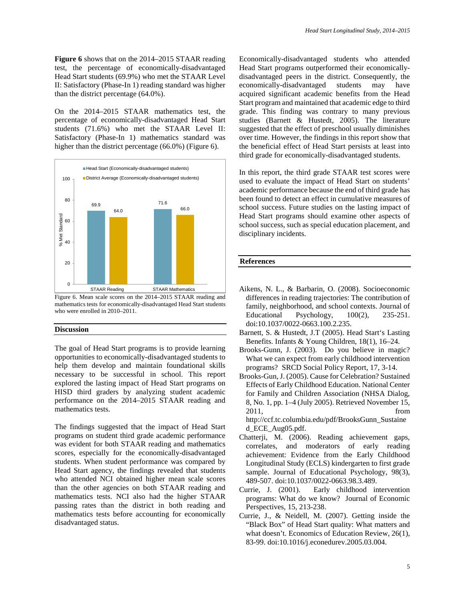test, the percentage of economically-disadvantaged Head Start students (69.9%) who met the STAAR Level II: Satisfactory (Phase-In 1) reading standard was higher than the district percentage (64.0%).

On the 2014–2015 STAAR mathematics test, the percentage of economically-disadvantaged Head Start students (71.6%) who met the STAAR Level II: Satisfactory (Phase-In 1) mathematics standard was higher than the district percentage (66.0%) (Figure 6).



Figure 6. Mean scale scores on the 2014–2015 STAAR reading and mathematics tests for economically-disadvantaged Head Start students who were enrolled in 2010–2011.

#### **Discussion**

The goal of Head Start programs is to provide learning opportunities to economically-disadvantaged students to help them develop and maintain foundational skills necessary to be successful in school. This report explored the lasting impact of Head Start programs on HISD third graders by analyzing student academic performance on the 2014–2015 STAAR reading and mathematics tests.

The findings suggested that the impact of Head Start programs on student third grade academic performance was evident for both STAAR reading and mathematics scores, especially for the economically-disadvantaged students. When student performance was compared by Head Start agency, the findings revealed that students who attended NCI obtained higher mean scale scores than the other agencies on both STAAR reading and mathematics tests. NCI also had the higher STAAR passing rates than the district in both reading and mathematics tests before accounting for economically disadvantaged status.

Economically-disadvantaged students who attended Head Start programs outperformed their economicallydisadvantaged peers in the district. Consequently, the economically-disadvantaged students may have acquired significant academic benefits from the Head Start program and maintained that academic edge to third grade. This finding was contrary to many previous studies (Barnett & Hustedt, 2005). The literature suggested that the effect of preschool usually diminishes over time. However, the findings in this report show that the beneficial effect of Head Start persists at least into third grade for economically-disadvantaged students.

In this report, the third grade STAAR test scores were used to evaluate the impact of Head Start on students' academic performance because the end of third grade has been found to detect an effect in cumulative measures of school success. Future studies on the lasting impact of Head Start programs should examine other aspects of school success, such as special education placement, and disciplinary incidents.

#### **References**

- Aikens, N. L., & Barbarin, O. (2008). Socioeconomic differences in reading trajectories: The contribution of family, neighborhood, and school contexts. Journal of Educational Psychology,  $100(2)$ , 235-251. doi:10.1037/0022-0663.100.2.235.
- Barnett, S. & Hustedt, J.T (2005). Head Start's Lasting Benefits. Infants & Young Children, 18(1), 16–24.
- Brooks-Gunn, J. (2003). Do you believe in magic? What we can expect from early childhood intervention programs? SRCD Social Policy Report, 17, 3-14.
- Brooks-Gun, J. (2005). Cause for Celebration? Sustained Effects of Early Childhood Education. National Center for Family and Children Association (NHSA Dialog, 8, No. 1, pp. 1–4 (July 2005). Retrieved November 15, 2011, from

http://ccf.tc.columbia.edu/pdf/BrooksGunn\_Sustaine d\_ECE\_Aug05.pdf.

- Chatterji, M. (2006). Reading achievement gaps, correlates, and moderators of early reading achievement: Evidence from the Early Childhood Longitudinal Study (ECLS) kindergarten to first grade sample. Journal of Educational Psychology, 98(3), 489-507. doi:10.1037/0022-0663.98.3.489.
- Currie, J. (2001). Early childhood intervention programs: What do we know? Journal of Economic Perspectives, 15, 213-238.
- Currie, J., & Neidell, M. (2007). Getting inside the "Black Box" of Head Start quality: What matters and what doesn't. Economics of Education Review, 26(1), 83-99. doi:10.1016/j.econedurev.2005.03.004.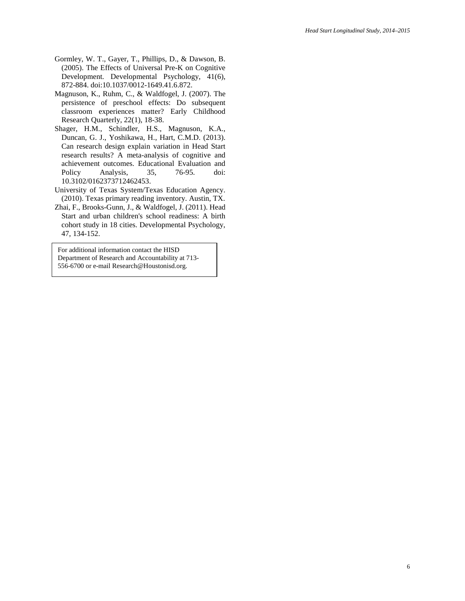- Gormley, W. T., Gayer, T., Phillips, D., & Dawson, B. (2005). The Effects of Universal Pre-K on Cognitive Development. Developmental Psychology, 41(6), 872-884. doi:10.1037/0012-1649.41.6.872.
- Magnuson, K., Ruhm, C., & Waldfogel, J. (2007). The persistence of preschool effects: Do subsequent classroom experiences matter? Early Childhood Research Quarterly, 22(1), 18-38.
- Shager, H.M., Schindler, H.S., Magnuson, K.A., Duncan, G. J., Yoshikawa, H., Hart, C.M.D. (2013). Can research design explain variation in Head Start research results? A meta-analysis of cognitive and achievement outcomes. Educational Evaluation and<br>Policy Analysis. 35, 76-95. doi: Policy Analysis, 35, 76-95. doi: 10.3102/0162373712462453.
- University of Texas System/Texas Education Agency. (2010). Texas primary reading inventory. Austin, TX.
- Zhai, F., Brooks-Gunn, J., & Waldfogel, J. (2011). Head Start and urban children's school readiness: A birth cohort study in 18 cities. Developmental Psychology, 47, 134-152.

For additional information contact the HISD Department of Research and Accountability at 713- 556-6700 or e-mail Research@Houstonisd.org.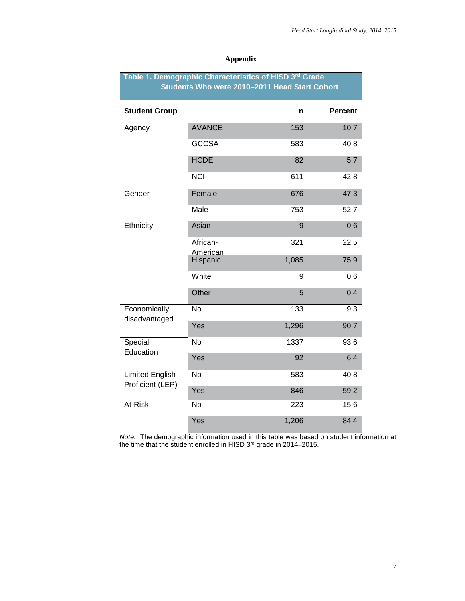| Table 1. Demographic Characteristics of HISD 3rd Grade<br>Students Who were 2010-2011 Head Start Cohort |                      |       |                |
|---------------------------------------------------------------------------------------------------------|----------------------|-------|----------------|
| <b>Student Group</b>                                                                                    |                      | n     | <b>Percent</b> |
| Agency                                                                                                  | <b>AVANCE</b>        | 153   | 10.7           |
|                                                                                                         | <b>GCCSA</b>         | 583   | 40.8           |
|                                                                                                         | <b>HCDE</b>          | 82    | 5.7            |
|                                                                                                         | <b>NCI</b>           | 611   | 42.8           |
| Gender                                                                                                  | Female               | 676   | 47.3           |
|                                                                                                         | Male                 | 753   | 52.7           |
| Ethnicity                                                                                               | Asian                | 9     | 0.6            |
|                                                                                                         | African-<br>American | 321   | 22.5           |
|                                                                                                         | Hispanic             | 1,085 | 75.9           |
|                                                                                                         | White                | 9     | 0.6            |
|                                                                                                         | Other                | 5     | 0.4            |
| Economically<br>disadvantaged                                                                           | <b>No</b>            | 133   | 9.3            |
|                                                                                                         | Yes                  | 1,296 | 90.7           |
| Special<br>Education                                                                                    | <b>No</b>            | 1337  | 93.6           |
|                                                                                                         | Yes                  | 92    | 6.4            |
| <b>Limited English</b><br>Proficient (LEP)<br>At-Risk                                                   | <b>No</b>            | 583   | 40.8           |
|                                                                                                         | Yes                  | 846   | 59.2           |
|                                                                                                         | <b>No</b>            | 223   | 15.6           |
|                                                                                                         | Yes                  | 1,206 | 84.4           |

## **Appendix**

*Note.* The demographic information used in this table was based on student information at the time that the student enrolled in HISD 3<sup>rd</sup> grade in 2014–2015.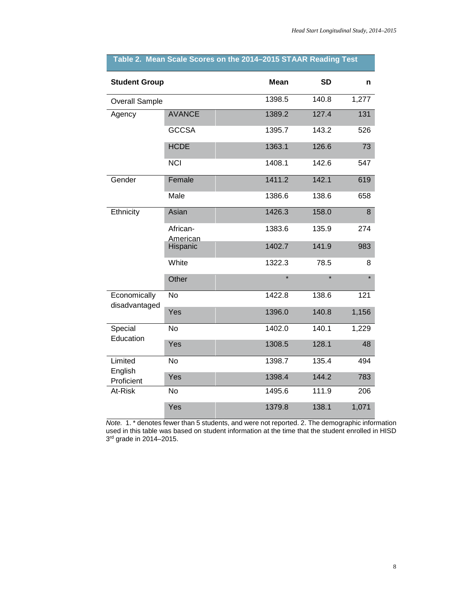| <b>Student Group</b>                        |                      | <b>Mean</b> | <b>SD</b> | n     |
|---------------------------------------------|----------------------|-------------|-----------|-------|
| <b>Overall Sample</b>                       |                      | 1398.5      | 140.8     | 1,277 |
| Agency                                      | <b>AVANCE</b>        | 1389.2      | 127.4     | 131   |
|                                             | <b>GCCSA</b>         | 1395.7      | 143.2     | 526   |
|                                             | <b>HCDE</b>          | 1363.1      | 126.6     | 73    |
|                                             | <b>NCI</b>           | 1408.1      | 142.6     | 547   |
| Gender                                      | Female               | 1411.2      | 142.1     | 619   |
|                                             | Male                 | 1386.6      | 138.6     | 658   |
| Ethnicity                                   | Asian                | 1426.3      | 158.0     | 8     |
|                                             | African-<br>American | 1383.6      | 135.9     | 274   |
|                                             | Hispanic             | 1402.7      | 141.9     | 983   |
|                                             | White                | 1322.3      | 78.5      | 8     |
|                                             | Other                | $\star$     | $\star$   |       |
| Economically<br>disadvantaged               | <b>No</b>            | 1422.8      | 138.6     | 121   |
|                                             | Yes                  | 1396.0      | 140.8     | 1,156 |
| Special<br>Education                        | <b>No</b>            | 1402.0      | 140.1     | 1,229 |
|                                             | Yes                  | 1308.5      | 128.1     | 48    |
| Limited<br>English<br>Proficient<br>At-Risk | <b>No</b>            | 1398.7      | 135.4     | 494   |
|                                             | Yes                  | 1398.4      | 144.2     | 783   |
|                                             | <b>No</b>            | 1495.6      | 111.9     | 206   |
|                                             | Yes                  | 1379.8      | 138.1     | 1,071 |

## **Table 2. Mean Scale Scores on the 2014–2015 STAAR Reading Test**

*Note.* 1. \* denotes fewer than 5 students, and were not reported. 2. The demographic information used in this table was based on student information at the time that the student enrolled in HISD 3<sup>rd</sup> grade in 2014–2015.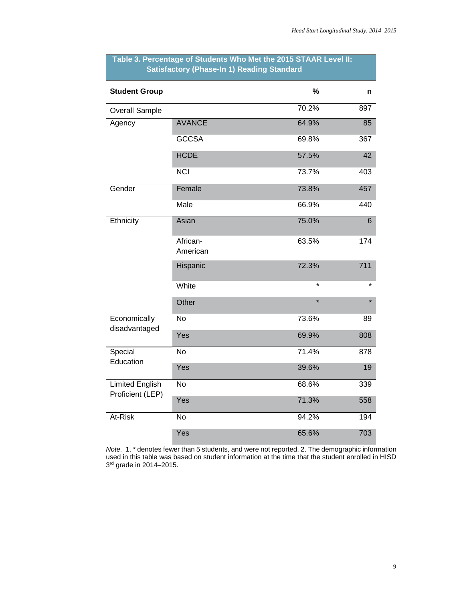| <b>Student Group</b>                       |                      | %       | n       |
|--------------------------------------------|----------------------|---------|---------|
| <b>Overall Sample</b>                      |                      | 70.2%   | 897     |
| Agency                                     | <b>AVANCE</b>        | 64.9%   | 85      |
|                                            | <b>GCCSA</b>         | 69.8%   | 367     |
|                                            | <b>HCDE</b>          | 57.5%   | 42      |
|                                            | <b>NCI</b>           | 73.7%   | 403     |
| Gender                                     | Female               | 73.8%   | 457     |
|                                            | Male                 | 66.9%   | 440     |
| Ethnicity                                  | Asian                | 75.0%   | 6       |
|                                            | African-<br>American | 63.5%   | 174     |
|                                            | Hispanic             | 72.3%   | 711     |
|                                            | White                | $\star$ | $\star$ |
|                                            | Other                | $\star$ |         |
| Economically<br>disadvantaged              | <b>No</b>            | 73.6%   | 89      |
|                                            | Yes                  | 69.9%   | 808     |
| Special<br>Education                       | <b>No</b>            | 71.4%   | 878     |
|                                            | Yes                  | 39.6%   | 19      |
| <b>Limited English</b><br>Proficient (LEP) | $\overline{N}$       | 68.6%   | 339     |
|                                            | Yes                  | 71.3%   | 558     |
| At-Risk                                    | No                   | 94.2%   | 194     |
|                                            | Yes                  | 65.6%   | 703     |

## **Table 3. Percentage of Students Who Met the 2015 STAAR Level II: Satisfactory (Phase-In 1) Reading Standard**

*Note.* 1. \* denotes fewer than 5 students, and were not reported. 2. The demographic information used in this table was based on student information at the time that the student enrolled in HISD 3<sup>rd</sup> grade in 2014–2015.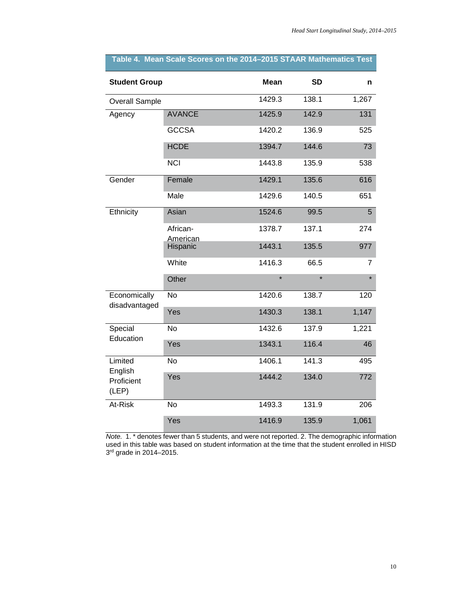| <b>Student Group</b>                      |                      | <b>Mean</b> | <b>SD</b> | n     |
|-------------------------------------------|----------------------|-------------|-----------|-------|
| <b>Overall Sample</b>                     |                      | 1429.3      | 138.1     | 1,267 |
| Agency                                    | <b>AVANCE</b>        | 1425.9      | 142.9     | 131   |
|                                           | <b>GCCSA</b>         | 1420.2      | 136.9     | 525   |
|                                           | <b>HCDE</b>          | 1394.7      | 144.6     | 73    |
|                                           | <b>NCI</b>           | 1443.8      | 135.9     | 538   |
| Gender                                    | Female               | 1429.1      | 135.6     | 616   |
|                                           | Male                 | 1429.6      | 140.5     | 651   |
| Ethnicity                                 | Asian                | 1524.6      | 99.5      | 5     |
|                                           | African-             | 1378.7      | 137.1     | 274   |
|                                           | American<br>Hispanic | 1443.1      | 135.5     | 977   |
|                                           | White                | 1416.3      | 66.5      | 7     |
|                                           | Other                | ÷           | $\star$   |       |
| Economically<br>disadvantaged             | <b>No</b>            | 1420.6      | 138.7     | 120   |
|                                           | Yes                  | 1430.3      | 138.1     | 1,147 |
| Special<br>Education                      | <b>No</b>            | 1432.6      | 137.9     | 1,221 |
|                                           | Yes                  | 1343.1      | 116.4     | 46    |
| Limited<br>English<br>Proficient<br>(LEP) | <b>No</b>            | 1406.1      | 141.3     | 495   |
|                                           | Yes                  | 1444.2      | 134.0     | 772   |
| At-Risk                                   | <b>No</b>            | 1493.3      | 131.9     | 206   |
|                                           | Yes                  | 1416.9      | 135.9     | 1,061 |

# **Table 4. Mean Scale Scores on the 2014–2015 STAAR Mathematics Test**

*Note.* 1. \* denotes fewer than 5 students, and were not reported. 2. The demographic information used in this table was based on student information at the time that the student enrolled in HISD 3<sup>rd</sup> grade in 2014–2015.